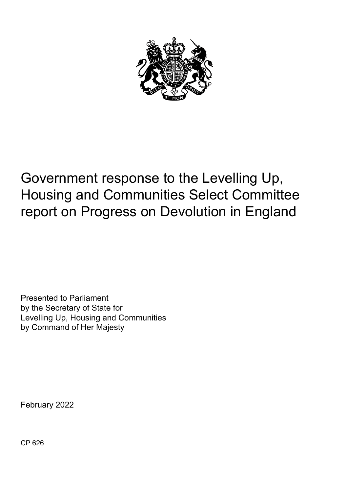

# Government response to the Levelling Up, Housing and Communities Select Committee report on Progress on Devolution in England

Presented to Parliament by the Secretary of State for Levelling Up, Housing and Communities by Command of Her Majesty

February 2022

CP 626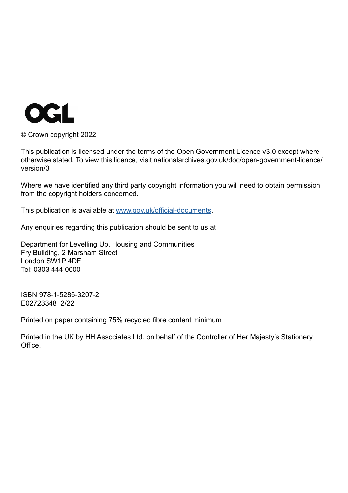

© Crown copyright 2022

This publication is licensed under the terms of the Open Government Licence v3.0 except where otherwise stated. To view this licence, visit nationalarchives.gov.uk/doc/open-government-licence/ version/3

Where we have identified any third party copyright information you will need to obtain permission from the copyright holders concerned.

This publication is available at [www.gov.uk/official-documents](http://www.gov.uk/official-documents).

Any enquiries regarding this publication should be sent to us at

Department for Levelling Up, Housing and Communities Fry Building, 2 Marsham Street London SW1P 4DF Tel: 0303 444 0000

ISBN 978-1-5286-3207-2 E02723348 2/22

Printed on paper containing 75% recycled fibre content minimum

Printed in the UK by HH Associates Ltd. on behalf of the Controller of Her Majesty's Stationery Office.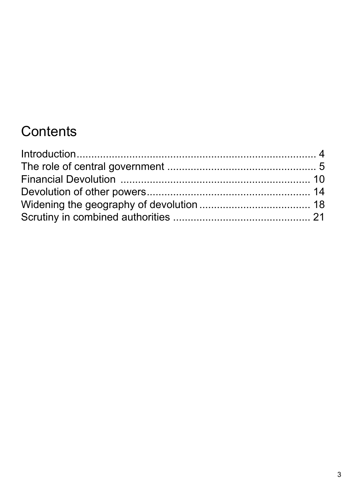# **Contents**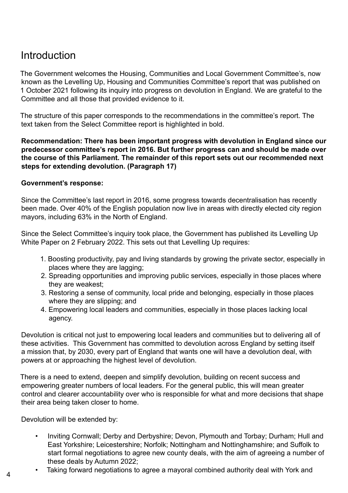# <span id="page-3-0"></span>**Introduction**

The Government welcomes the Housing, Communities and Local Government Committee's, now known as the Levelling Up, Housing and Communities Committee's report that was published on 1 October 2021 following its inquiry into progress on devolution in England. We are grateful to the Committee and all those that provided evidence to it.

The structure of this paper corresponds to the recommendations in the committee's report. The text taken from the Select Committee report is highlighted in bold.

**Recommendation: There has been important progress with devolution in England since our predecessor committee's report in 2016. But further progress can and should be made over the course of this Parliament. The remainder of this report sets out our recommended next steps for extending devolution. (Paragraph 17)** 

#### **Government's response:**

Since the Committee's last report in 2016, some progress towards decentralisation has recently been made. Over 40% of the English population now live in areas with directly elected city region mayors, including 63% in the North of England.

Since the Select Committee's inquiry took place, the Government has published its Levelling Up White Paper on 2 February 2022. This sets out that Levelling Up requires:

- 1. Boosting productivity, pay and living standards by growing the private sector, especially in places where they are lagging;
- 2. Spreading opportunities and improving public services, especially in those places where they are weakest;
- 3. Restoring a sense of community, local pride and belonging, especially in those places where they are slipping; and
- 4. Empowering local leaders and communities, especially in those places lacking local agency.

Devolution is critical not just to empowering local leaders and communities but to delivering all of these activities. This Government has committed to devolution across England by setting itself a mission that, by 2030, every part of England that wants one will have a devolution deal, with powers at or approaching the highest level of devolution.

There is a need to extend, deepen and simplify devolution, building on recent success and empowering greater numbers of local leaders. For the general public, this will mean greater control and clearer accountability over who is responsible for what and more decisions that shape their area being taken closer to home.

Devolution will be extended by:

- Inviting Cornwall; Derby and Derbyshire; Devon, Plymouth and Torbay; Durham; Hull and East Yorkshire; Leicestershire; Norfolk; Nottingham and Nottinghamshire; and Suffolk to start formal negotiations to agree new county deals, with the aim of agreeing a number of these deals by Autumn 2022;
- Taking forward negotiations to agree a mayoral combined authority deal with York and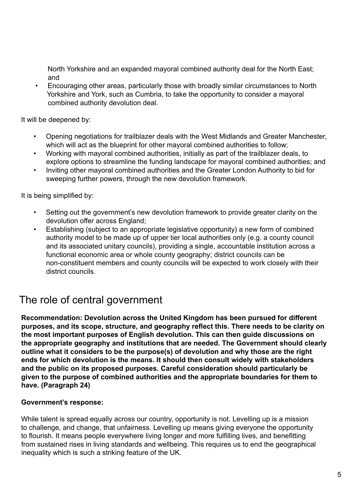<span id="page-4-0"></span>North Yorkshire and an expanded mayoral combined authority deal for the North East; and

• Encouraging other areas, particularly those with broadly similar circumstances to North Yorkshire and York, such as Cumbria, to take the opportunity to consider a mayoral combined authority devolution deal.

It will be deepened by:

- Opening negotiations for trailblazer deals with the West Midlands and Greater Manchester, which will act as the blueprint for other mayoral combined authorities to follow;
- Working with mayoral combined authorities, initially as part of the trailblazer deals, to explore options to streamline the funding landscape for mayoral combined authorities; and
- Inviting other mayoral combined authorities and the Greater London Authority to bid for sweeping further powers, through the new devolution framework.

It is being simplified by:

- Setting out the government's new devolution framework to provide greater clarity on the devolution offer across England;
- Establishing (subject to an appropriate legislative opportunity) a new form of combined authority model to be made up of upper tier local authorities only (e.g. a county council and its associated unitary councils), providing a single, accountable institution across a functional economic area or whole county geography; district councils can be non-constituent members and county councils will be expected to work closely with their district councils.

### The role of central government

**Recommendation: Devolution across the United Kingdom has been pursued for different purposes, and its scope, structure, and geography reflect this. There needs to be clarity on the most important purposes of English devolution. This can then guide discussions on the appropriate geography and institutions that are needed. The Government should clearly outline what it considers to be the purpose(s) of devolution and why those are the right ends for which devolution is the means. It should then consult widely with stakeholders and the public on its proposed purposes. Careful consideration should particularly be given to the purpose of combined authorities and the appropriate boundaries for them to have. (Paragraph 24)** 

#### **Government's response:**

While talent is spread equally across our country, opportunity is not. Levelling up is a mission to challenge, and change, that unfairness. Levelling up means giving everyone the opportunity to flourish. It means people everywhere living longer and more fulfilling lives, and benefitting from sustained rises in living standards and wellbeing. This requires us to end the geographical inequality which is such a striking feature of the UK.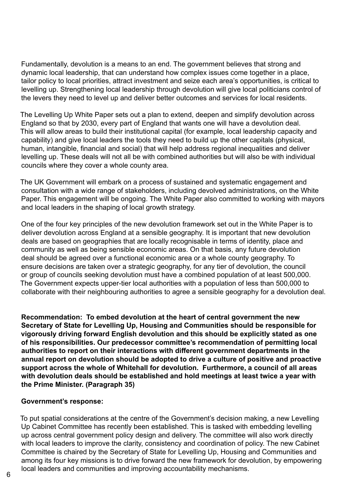Fundamentally, devolution is a means to an end. The government believes that strong and dynamic local leadership, that can understand how complex issues come together in a place, tailor policy to local priorities, attract investment and seize each area's opportunities, is critical to levelling up. Strengthening local leadership through devolution will give local politicians control of the levers they need to level up and deliver better outcomes and services for local residents.

The Levelling Up White Paper sets out a plan to extend, deepen and simplify devolution across England so that by 2030, every part of England that wants one will have a devolution deal. This will allow areas to build their institutional capital (for example, local leadership capacity and capability) and give local leaders the tools they need to build up the other capitals (physical, human, intangible, financial and social) that will help address regional inequalities and deliver levelling up. These deals will not all be with combined authorities but will also be with individual councils where they cover a whole county area.

The UK Government will embark on a process of sustained and systematic engagement and consultation with a wide range of stakeholders, including devolved administrations, on the White Paper. This engagement will be ongoing. The White Paper also committed to working with mayors and local leaders in the shaping of local growth strategy.

One of the four key principles of the new devolution framework set out in the White Paper is to deliver devolution across England at a sensible geography. It is important that new devolution deals are based on geographies that are locally recognisable in terms of identity, place and community as well as being sensible economic areas. On that basis, any future devolution deal should be agreed over a functional economic area or a whole county geography. To ensure decisions are taken over a strategic geography, for any tier of devolution, the council or group of councils seeking devolution must have a combined population of at least 500,000. The Government expects upper-tier local authorities with a population of less than 500,000 to collaborate with their neighbouring authorities to agree a sensible geography for a devolution deal.

**Recommendation: To embed devolution at the heart of central government the new Secretary of State for Levelling Up, Housing and Communities should be responsible for vigorously driving forward English devolution and this should be explicitly stated as one of his responsibilities. Our predecessor committee's recommendation of permitting local authorities to report on their interactions with different government departments in the annual report on devolution should be adopted to drive a culture of positive and proactive support across the whole of Whitehall for devolution. Furthermore, a council of all areas with devolution deals should be established and hold meetings at least twice a year with the Prime Minister. (Paragraph 35)** 

#### **Government's response:**

To put spatial considerations at the centre of the Government's decision making, a new Levelling Up Cabinet Committee has recently been established. This is tasked with embedding levelling up across central government policy design and delivery. The committee will also work directly with local leaders to improve the clarity, consistency and coordination of policy. The new Cabinet Committee is chaired by the Secretary of State for Levelling Up, Housing and Communities and among its four key missions is to drive forward the new framework for devolution, by empowering local leaders and communities and improving accountability mechanisms.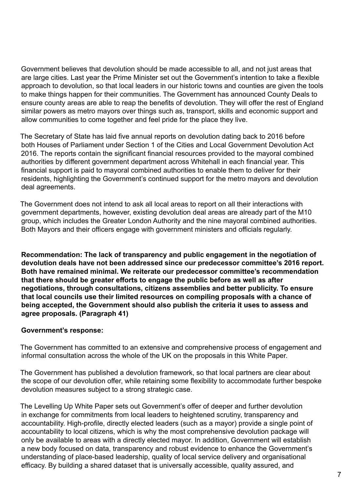Government believes that devolution should be made accessible to all, and not just areas that are large cities. Last year the Prime Minister set out the Government's intention to take a flexible approach to devolution, so that local leaders in our historic towns and counties are given the tools to make things happen for their communities. The Government has announced County Deals to ensure county areas are able to reap the benefits of devolution. They will offer the rest of England similar powers as metro mayors over things such as, transport, skills and economic support and allow communities to come together and feel pride for the place they live.

The Secretary of State has laid five annual reports on devolution dating back to 2016 before both Houses of Parliament under Section 1 of the Cities and Local Government Devolution Act 2016. The reports contain the significant financial resources provided to the mayoral combined authorities by different government department across Whitehall in each financial year. This financial support is paid to mayoral combined authorities to enable them to deliver for their residents, highlighting the Government's continued support for the metro mayors and devolution deal agreements.

The Government does not intend to ask all local areas to report on all their interactions with government departments, however, existing devolution deal areas are already part of the M10 group, which includes the Greater London Authority and the nine mayoral combined authorities. Both Mayors and their officers engage with government ministers and officials regularly.

**Recommendation: The lack of transparency and public engagement in the negotiation of devolution deals have not been addressed since our predecessor committee's 2016 report. Both have remained minimal. We reiterate our predecessor committee's recommendation that there should be greater efforts to engage the public before as well as after negotiations, through consultations, citizens assemblies and better publicity. To ensure that local councils use their limited resources on compiling proposals with a chance of being accepted, the Government should also publish the criteria it uses to assess and agree proposals. (Paragraph 41)**

#### **Government's response:**

The Government has committed to an extensive and comprehensive process of engagement and informal consultation across the whole of the UK on the proposals in this White Paper.

The Government has published a devolution framework, so that local partners are clear about the scope of our devolution offer, while retaining some flexibility to accommodate further bespoke devolution measures subject to a strong strategic case.

The Levelling Up White Paper sets out Government's offer of deeper and further devolution in exchange for commitments from local leaders to heightened scrutiny, transparency and accountability. High-profile, directly elected leaders (such as a mayor) provide a single point of accountability to local citizens, which is why the most comprehensive devolution package will only be available to areas with a directly elected mayor. In addition, Government will establish a new body focused on data, transparency and robust evidence to enhance the Government's understanding of place-based leadership, quality of local service delivery and organisational efficacy. By building a shared dataset that is universally accessible, quality assured, and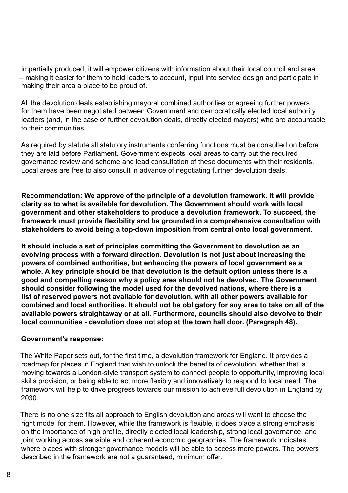impartially produced, it will empower citizens with information about their local council and area – making it easier for them to hold leaders to account, input into service design and participate in making their area a place to be proud of.

All the devolution deals establishing mayoral combined authorities or agreeing further powers for them have been negotiated between Government and democratically elected local authority leaders (and, in the case of further devolution deals, directly elected mayors) who are accountable to their communities.

As required by statute all statutory instruments conferring functions must be consulted on before they are laid before Parliament. Government expects local areas to carry out the required governance review and scheme and lead consultation of these documents with their residents. Local areas are free to also consult in advance of negotiating further devolution deals.

**Recommendation: We approve of the principle of a devolution framework. It will provide clarity as to what is available for devolution. The Government should work with local government and other stakeholders to produce a devolution framework. To succeed, the framework must provide flexibility and be grounded in a comprehensive consultation with stakeholders to avoid being a top-down imposition from central onto local government.** 

**It should include a set of principles committing the Government to devolution as an evolving process with a forward direction. Devolution is not just about increasing the powers of combined authorities, but enhancing the powers of local government as a whole. A key principle should be that devolution is the default option unless there is a good and compelling reason why a policy area should not be devolved. The Government should consider following the model used for the devolved nations, where there is a list of reserved powers not available for devolution, with all other powers available for combined and local authorities. It should not be obligatory for any area to take on all of the available powers straightaway or at all. Furthermore, councils should also devolve to their local communities - devolution does not stop at the town hall door. (Paragraph 48).**

#### **Government's response:**

The White Paper sets out, for the first time, a devolution framework for England. It provides a roadmap for places in England that wish to unlock the benefits of devolution, whether that is moving towards a London-style transport system to connect people to opportunity, improving local skills provision, or being able to act more flexibly and innovatively to respond to local need. The framework will help to drive progress towards our mission to achieve full devolution in England by 2030.

There is no one size fits all approach to English devolution and areas will want to choose the right model for them. However, while the framework is flexible, it does place a strong emphasis on the importance of high profile, directly elected local leadership, strong local governance, and joint working across sensible and coherent economic geographies. The framework indicates where places with stronger governance models will be able to access more powers. The powers described in the framework are not a guaranteed, minimum offer.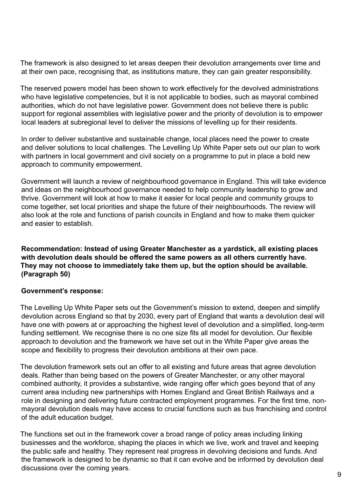<span id="page-8-0"></span>The framework is also designed to let areas deepen their devolution arrangements over time and at their own pace, recognising that, as institutions mature, they can gain greater responsibility.

The reserved powers model has been shown to work effectively for the devolved administrations who have legislative competencies, but it is not applicable to bodies, such as mayoral combined authorities, which do not have legislative power. Government does not believe there is public support for regional assemblies with legislative power and the priority of devolution is to empower local leaders at subregional level to deliver the missions of levelling up for their residents.

In order to deliver substantive and sustainable change, local places need the power to create and deliver solutions to local challenges. The Levelling Up White Paper sets out our plan to work with partners in local government and civil society on a programme to put in place a bold new approach to community empowerment.

Government will launch a review of neighbourhood governance in England. This will take evidence and ideas on the neighbourhood governance needed to help community leadership to grow and thrive. Government will look at how to make it easier for local people and community groups to come together, set local priorities and shape the future of their neighbourhoods. The review will also look at the role and functions of parish councils in England and how to make them quicker and easier to establish.

**Recommendation: Instead of using Greater Manchester as a yardstick, all existing places with devolution deals should be offered the same powers as all others currently have. They may not choose to immediately take them up, but the option should be available. (Paragraph 50)** 

#### **Government's response:**

The Levelling Up White Paper sets out the Government's mission to extend, deepen and simplify devolution across England so that by 2030, every part of England that wants a devolution deal will have one with powers at or approaching the highest level of devolution and a simplified, long-term funding settlement. We recognise there is no one size fits all model for devolution. Our flexible approach to devolution and the framework we have set out in the White Paper give areas the scope and flexibility to progress their devolution ambitions at their own pace.

The devolution framework sets out an offer to all existing and future areas that agree devolution deals. Rather than being based on the powers of Greater Manchester, or any other mayoral combined authority, it provides a substantive, wide ranging offer which goes beyond that of any current area including new partnerships with Homes England and Great British Railways and a role in designing and delivering future contracted employment programmes. For the first time, nonmayoral devolution deals may have access to crucial functions such as bus franchising and control of the adult education budget.

The functions set out in the framework cover a broad range of policy areas including linking businesses and the workforce, shaping the places in which we live, work and travel and keeping the public safe and healthy. They represent real progress in devolving decisions and funds. And the framework is designed to be dynamic so that it can evolve and be informed by devolution deal discussions over the coming years.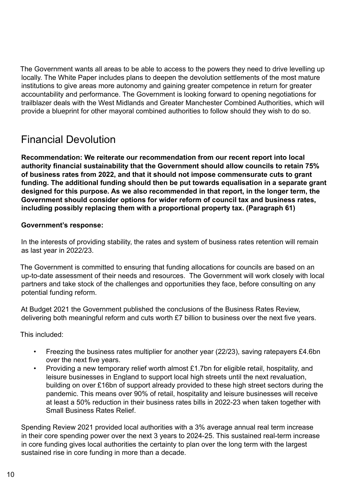The Government wants all areas to be able to access to the powers they need to drive levelling up locally. The White Paper includes plans to deepen the devolution settlements of the most mature institutions to give areas more autonomy and gaining greater competence in return for greater accountability and performance. The Government is looking forward to opening negotiations for trailblazer deals with the West Midlands and Greater Manchester Combined Authorities, which will provide a blueprint for other mayoral combined authorities to follow should they wish to do so.

## Financial Devolution

**Recommendation: We reiterate our recommendation from our recent report into local authority financial sustainability that the Government should allow councils to retain 75% of business rates from 2022, and that it should not impose commensurate cuts to grant funding. The additional funding should then be put towards equalisation in a separate grant designed for this purpose. As we also recommended in that report, in the longer term, the Government should consider options for wider reform of council tax and business rates, including possibly replacing them with a proportional property tax. (Paragraph 61)** 

#### **Government's response:**

In the interests of providing stability, the rates and system of business rates retention will remain as last year in 2022/23.

The Government is committed to ensuring that funding allocations for councils are based on an up-to-date assessment of their needs and resources. The Government will work closely with local partners and take stock of the challenges and opportunities they face, before consulting on any potential funding reform.

At Budget 2021 the Government published the conclusions of the Business Rates Review, delivering both meaningful reform and cuts worth £7 billion to business over the next five years.

This included:

- Freezing the business rates multiplier for another year (22/23), saving ratepayers £4.6bn over the next five years.
- Providing a new temporary relief worth almost £1.7bn for eligible retail, hospitality, and leisure businesses in England to support local high streets until the next revaluation, building on over £16bn of support already provided to these high street sectors during the pandemic. This means over 90% of retail, hospitality and leisure businesses will receive at least a 50% reduction in their business rates bills in 2022-23 when taken together with Small Business Rates Relief.

Spending Review 2021 provided local authorities with a 3% average annual real term increase in their core spending power over the next 3 years to 2024-25. This sustained real-term increase in core funding gives local authorities the certainty to plan over the long term with the largest sustained rise in core funding in more than a decade.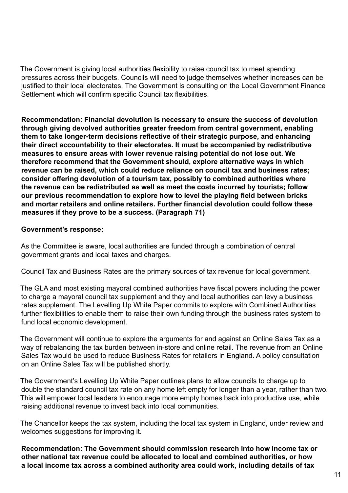The Government is giving local authorities flexibility to raise council tax to meet spending pressures across their budgets. Councils will need to judge themselves whether increases can be justified to their local electorates. The Government is consulting on the Local Government Finance Settlement which will confirm specific Council tax flexibilities.

**Recommendation: Financial devolution is necessary to ensure the success of devolution through giving devolved authorities greater freedom from central government, enabling them to take longer-term decisions reflective of their strategic purpose, and enhancing their direct accountability to their electorates. It must be accompanied by redistributive measures to ensure areas with lower revenue raising potential do not lose out. We therefore recommend that the Government should, explore alternative ways in which revenue can be raised, which could reduce reliance on council tax and business rates; consider offering devolution of a tourism tax, possibly to combined authorities where the revenue can be redistributed as well as meet the costs incurred by tourists; follow our previous recommendation to explore how to level the playing field between bricks and mortar retailers and online retailers. Further financial devolution could follow these measures if they prove to be a success. (Paragraph 71)** 

#### **Government's response:**

As the Committee is aware, local authorities are funded through a combination of central government grants and local taxes and charges.

Council Tax and Business Rates are the primary sources of tax revenue for local government.

The GLA and most existing mayoral combined authorities have fiscal powers including the power to charge a mayoral council tax supplement and they and local authorities can levy a business rates supplement. The Levelling Up White Paper commits to explore with Combined Authorities further flexibilities to enable them to raise their own funding through the business rates system to fund local economic development.

The Government will continue to explore the arguments for and against an Online Sales Tax as a way of rebalancing the tax burden between in-store and online retail. The revenue from an Online Sales Tax would be used to reduce Business Rates for retailers in England. A policy consultation on an Online Sales Tax will be published shortly.

The Government's Levelling Up White Paper outlines plans to allow councils to charge up to double the standard council tax rate on any home left empty for longer than a year, rather than two. This will empower local leaders to encourage more empty homes back into productive use, while raising additional revenue to invest back into local communities.

The Chancellor keeps the tax system, including the local tax system in England, under review and welcomes suggestions for improving it.

**Recommendation: The Government should commission research into how income tax or other national tax revenue could be allocated to local and combined authorities, or how a local income tax across a combined authority area could work, including details of tax**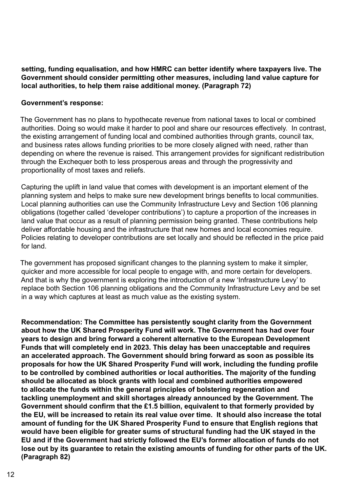**setting, funding equalisation, and how HMRC can better identify where taxpayers live. The Government should consider permitting other measures, including land value capture for local authorities, to help them raise additional money. (Paragraph 72)**

#### **Government's response:**

The Government has no plans to hypothecate revenue from national taxes to local or combined authorities. Doing so would make it harder to pool and share our resources effectively. In contrast, the existing arrangement of funding local and combined authorities through grants, council tax, and business rates allows funding priorities to be more closely aligned with need, rather than depending on where the revenue is raised. This arrangement provides for significant redistribution through the Exchequer both to less prosperous areas and through the progressivity and proportionality of most taxes and reliefs.

Capturing the uplift in land value that comes with development is an important element of the planning system and helps to make sure new development brings benefits to local communities. Local planning authorities can use the Community Infrastructure Levy and Section 106 planning obligations (together called 'developer contributions') to capture a proportion of the increases in land value that occur as a result of planning permission being granted. These contributions help deliver affordable housing and the infrastructure that new homes and local economies require. Policies relating to developer contributions are set locally and should be reflected in the price paid for land.

The government has proposed significant changes to the planning system to make it simpler, quicker and more accessible for local people to engage with, and more certain for developers. And that is why the government is exploring the introduction of a new 'Infrastructure Levy' to replace both Section 106 planning obligations and the Community Infrastructure Levy and be set in a way which captures at least as much value as the existing system.

**Recommendation: The Committee has persistently sought clarity from the Government about how the UK Shared Prosperity Fund will work. The Government has had over four years to design and bring forward a coherent alternative to the European Development Funds that will completely end in 2023. This delay has been unacceptable and requires an accelerated approach. The Government should bring forward as soon as possible its proposals for how the UK Shared Prosperity Fund will work, including the funding profile to be controlled by combined authorities or local authorities. The majority of the funding should be allocated as block grants with local and combined authorities empowered to allocate the funds within the general principles of bolstering regeneration and tackling unemployment and skill shortages already announced by the Government. The Government should confirm that the £1.5 billion, equivalent to that formerly provided by the EU, will be increased to retain its real value over time. It should also increase the total amount of funding for the UK Shared Prosperity Fund to ensure that English regions that would have been eligible for greater sums of structural funding had the UK stayed in the EU and if the Government had strictly followed the EU's former allocation of funds do not lose out by its guarantee to retain the existing amounts of funding for other parts of the UK. (Paragraph 82)**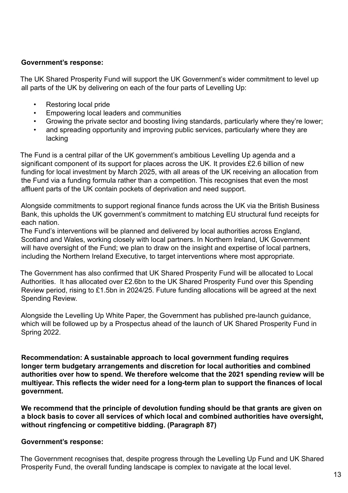#### <span id="page-12-0"></span>**Government's response:**

The UK Shared Prosperity Fund will support the UK Government's wider commitment to level up all parts of the UK by delivering on each of the four parts of Levelling Up:

- Restoring local pride
- Empowering local leaders and communities
- Growing the private sector and boosting living standards, particularly where they're lower;
- and spreading opportunity and improving public services, particularly where they are lacking

The Fund is a central pillar of the UK government's ambitious Levelling Up agenda and a significant component of its support for places across the UK. It provides £2.6 billion of new funding for local investment by March 2025, with all areas of the UK receiving an allocation from the Fund via a funding formula rather than a competition. This recognises that even the most affluent parts of the UK contain pockets of deprivation and need support.

Alongside commitments to support regional finance funds across the UK via the British Business Bank, this upholds the UK government's commitment to matching EU structural fund receipts for each nation.

The Fund's interventions will be planned and delivered by local authorities across England, Scotland and Wales, working closely with local partners. In Northern Ireland, UK Government will have oversight of the Fund; we plan to draw on the insight and expertise of local partners, including the Northern Ireland Executive, to target interventions where most appropriate.

The Government has also confirmed that UK Shared Prosperity Fund will be allocated to Local Authorities. It has allocated over £2.6bn to the UK Shared Prosperity Fund over this Spending Review period, rising to £1.5bn in 2024/25. Future funding allocations will be agreed at the next Spending Review.

Alongside the Levelling Up White Paper, the Government has published pre-launch guidance, which will be followed up by a Prospectus ahead of the launch of UK Shared Prosperity Fund in Spring 2022.

**Recommendation: A sustainable approach to local government funding requires longer term budgetary arrangements and discretion for local authorities and combined authorities over how to spend. We therefore welcome that the 2021 spending review will be multiyear. This reflects the wider need for a long-term plan to support the finances of local government.** 

**We recommend that the principle of devolution funding should be that grants are given on a block basis to cover all services of which local and combined authorities have oversight, without ringfencing or competitive bidding. (Paragraph 87)**

#### **Government's response:**

The Government recognises that, despite progress through the Levelling Up Fund and UK Shared Prosperity Fund, the overall funding landscape is complex to navigate at the local level.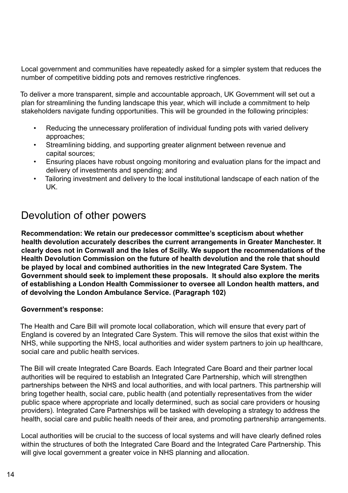Local government and communities have repeatedly asked for a simpler system that reduces the number of competitive bidding pots and removes restrictive ringfences.

To deliver a more transparent, simple and accountable approach, UK Government will set out a plan for streamlining the funding landscape this year, which will include a commitment to help stakeholders navigate funding opportunities. This will be grounded in the following principles:

- Reducing the unnecessary proliferation of individual funding pots with varied delivery approaches;
- Streamlining bidding, and supporting greater alignment between revenue and capital sources;
- Ensuring places have robust ongoing monitoring and evaluation plans for the impact and delivery of investments and spending; and
- Tailoring investment and delivery to the local institutional landscape of each nation of the UK.

# Devolution of other powers

**Recommendation: We retain our predecessor committee's scepticism about whether health devolution accurately describes the current arrangements in Greater Manchester. It clearly does not in Cornwall and the Isles of Scilly. We support the recommendations of the Health Devolution Commission on the future of health devolution and the role that should be played by local and combined authorities in the new Integrated Care System. The Government should seek to implement these proposals. It should also explore the merits of establishing a London Health Commissioner to oversee all London health matters, and of devolving the London Ambulance Service. (Paragraph 102)**

#### **Government's response:**

The Health and Care Bill will promote local collaboration, which will ensure that every part of England is covered by an Integrated Care System. This will remove the silos that exist within the NHS, while supporting the NHS, local authorities and wider system partners to join up healthcare, social care and public health services.

The Bill will create Integrated Care Boards. Each Integrated Care Board and their partner local authorities will be required to establish an Integrated Care Partnership, which will strengthen partnerships between the NHS and local authorities, and with local partners. This partnership will bring together health, social care, public health (and potentially representatives from the wider public space where appropriate and locally determined, such as social care providers or housing providers). Integrated Care Partnerships will be tasked with developing a strategy to address the health, social care and public health needs of their area, and promoting partnership arrangements.

Local authorities will be crucial to the success of local systems and will have clearly defined roles within the structures of both the Integrated Care Board and the Integrated Care Partnership. This will give local government a greater voice in NHS planning and allocation.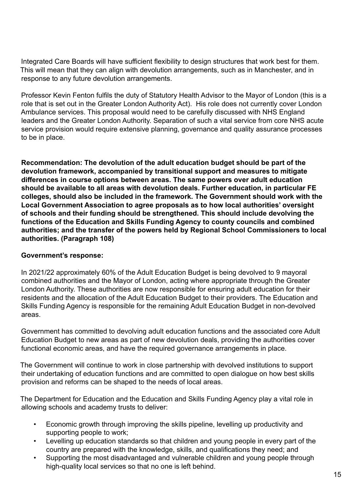Integrated Care Boards will have sufficient flexibility to design structures that work best for them. This will mean that they can align with devolution arrangements, such as in Manchester, and in response to any future devolution arrangements.

Professor Kevin Fenton fulfils the duty of Statutory Health Advisor to the Mayor of London (this is a role that is set out in the Greater London Authority Act). His role does not currently cover London Ambulance services. This proposal would need to be carefully discussed with NHS England leaders and the Greater London Authority. Separation of such a vital service from core NHS acute service provision would require extensive planning, governance and quality assurance processes to be in place.

**Recommendation: The devolution of the adult education budget should be part of the devolution framework, accompanied by transitional support and measures to mitigate differences in course options between areas. The same powers over adult education should be available to all areas with devolution deals. Further education, in particular FE colleges, should also be included in the framework. The Government should work with the Local Government Association to agree proposals as to how local authorities' oversight of schools and their funding should be strengthened. This should include devolving the functions of the Education and Skills Funding Agency to county councils and combined authorities; and the transfer of the powers held by Regional School Commissioners to local authorities. (Paragraph 108)** 

#### **Government's response:**

In 2021/22 approximately 60% of the Adult Education Budget is being devolved to 9 mayoral combined authorities and the Mayor of London, acting where appropriate through the Greater London Authority. These authorities are now responsible for ensuring adult education for their residents and the allocation of the Adult Education Budget to their providers. The Education and Skills Funding Agency is responsible for the remaining Adult Education Budget in non-devolved areas.

Government has committed to devolving adult education functions and the associated core Adult Education Budget to new areas as part of new devolution deals, providing the authorities cover functional economic areas, and have the required governance arrangements in place.

The Government will continue to work in close partnership with devolved institutions to support their undertaking of education functions and are committed to open dialogue on how best skills provision and reforms can be shaped to the needs of local areas.

The Department for Education and the Education and Skills Funding Agency play a vital role in allowing schools and academy trusts to deliver:

- Economic growth through improving the skills pipeline, levelling up productivity and supporting people to work;
- Levelling up education standards so that children and young people in every part of the country are prepared with the knowledge, skills, and qualifications they need; and
- Supporting the most disadvantaged and vulnerable children and young people through high-quality local services so that no one is left behind.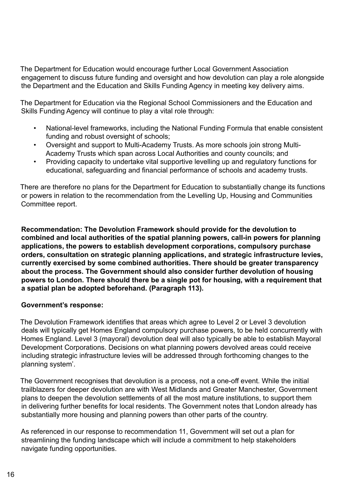The Department for Education would encourage further Local Government Association engagement to discuss future funding and oversight and how devolution can play a role alongside the Department and the Education and Skills Funding Agency in meeting key delivery aims.

The Department for Education via the Regional School Commissioners and the Education and Skills Funding Agency will continue to play a vital role through:

- National-level frameworks, including the National Funding Formula that enable consistent funding and robust oversight of schools;
- Oversight and support to Multi-Academy Trusts. As more schools join strong Multi-Academy Trusts which span across Local Authorities and county councils; and
- Providing capacity to undertake vital supportive levelling up and regulatory functions for educational, safeguarding and financial performance of schools and academy trusts.

There are therefore no plans for the Department for Education to substantially change its functions or powers in relation to the recommendation from the Levelling Up, Housing and Communities Committee report.

**Recommendation: The Devolution Framework should provide for the devolution to combined and local authorities of the spatial planning powers, call-in powers for planning applications, the powers to establish development corporations, compulsory purchase orders, consultation on strategic planning applications, and strategic infrastructure levies, currently exercised by some combined authorities. There should be greater transparency about the process. The Government should also consider further devolution of housing powers to London. There should there be a single pot for housing, with a requirement that a spatial plan be adopted beforehand. (Paragraph 113).** 

#### **Government's response:**

The Devolution Framework identifies that areas which agree to Level 2 or Level 3 devolution deals will typically get Homes England compulsory purchase powers, to be held concurrently with Homes England. Level 3 (mayoral) devolution deal will also typically be able to establish Mayoral Development Corporations. Decisions on what planning powers devolved areas could receive including strategic infrastructure levies will be addressed through forthcoming changes to the planning system'.

The Government recognises that devolution is a process, not a one-off event. While the initial trailblazers for deeper devolution are with West Midlands and Greater Manchester, Government plans to deepen the devolution settlements of all the most mature institutions, to support them in delivering further benefits for local residents. The Government notes that London already has substantially more housing and planning powers than other parts of the country.

As referenced in our response to recommendation 11, Government will set out a plan for streamlining the funding landscape which will include a commitment to help stakeholders navigate funding opportunities.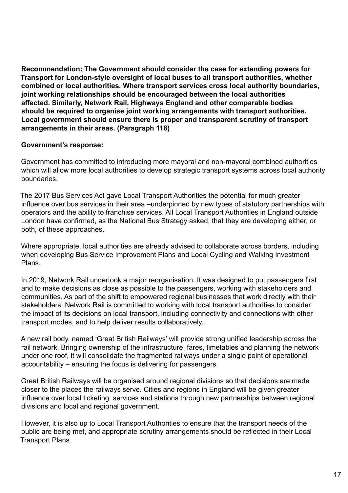**Recommendation: The Government should consider the case for extending powers for Transport for London-style oversight of local buses to all transport authorities, whether combined or local authorities. Where transport services cross local authority boundaries, joint working relationships should be encouraged between the local authorities affected. Similarly, Network Rail, Highways England and other comparable bodies should be required to organise joint working arrangements with transport authorities. Local government should ensure there is proper and transparent scrutiny of transport arrangements in their areas. (Paragraph 118)** 

#### **Government's response:**

Government has committed to introducing more mayoral and non-mayoral combined authorities which will allow more local authorities to develop strategic transport systems across local authority boundaries.

The 2017 Bus Services Act gave Local Transport Authorities the potential for much greater influence over bus services in their area –underpinned by new types of statutory partnerships with operators and the ability to franchise services. All Local Transport Authorities in England outside London have confirmed, as the National Bus Strategy asked, that they are developing either, or both, of these approaches.

Where appropriate, local authorities are already advised to collaborate across borders, including when developing Bus Service Improvement Plans and Local Cycling and Walking Investment Plans.

In 2019, Network Rail undertook a major reorganisation. It was designed to put passengers first and to make decisions as close as possible to the passengers, working with stakeholders and communities. As part of the shift to empowered regional businesses that work directly with their stakeholders, Network Rail is committed to working with local transport authorities to consider the impact of its decisions on local transport, including connectivity and connections with other transport modes, and to help deliver results collaboratively.

A new rail body, named 'Great British Railways' will provide strong unified leadership across the rail network. Bringing ownership of the infrastructure, fares, timetables and planning the network under one roof, it will consolidate the fragmented railways under a single point of operational accountability – ensuring the focus is delivering for passengers.

Great British Railways will be organised around regional divisions so that decisions are made closer to the places the railways serve. Cities and regions in England will be given greater influence over local ticketing, services and stations through new partnerships between regional divisions and local and regional government.

However, it is also up to Local Transport Authorities to ensure that the transport needs of the public are being met, and appropriate scrutiny arrangements should be reflected in their Local Transport Plans.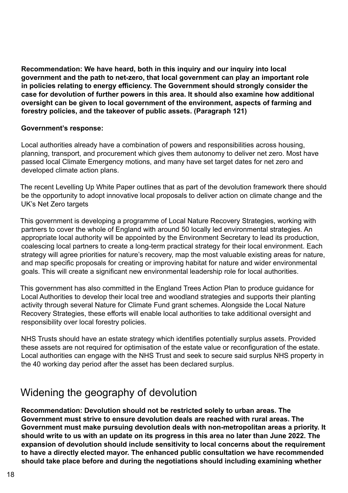<span id="page-17-0"></span>**Recommendation: We have heard, both in this inquiry and our inquiry into local government and the path to net-zero, that local government can play an important role in policies relating to energy efficiency. The Government should strongly consider the case for devolution of further powers in this area. It should also examine how additional oversight can be given to local government of the environment, aspects of farming and forestry policies, and the takeover of public assets. (Paragraph 121)** 

#### **Government's response:**

Local authorities already have a combination of powers and responsibilities across housing, planning, transport, and procurement which gives them autonomy to deliver net zero. Most have passed local Climate Emergency motions, and many have set target dates for net zero and developed climate action plans.

The recent Levelling Up White Paper outlines that as part of the devolution framework there should be the opportunity to adopt innovative local proposals to deliver action on climate change and the UK's Net Zero targets

This government is developing a programme of Local Nature Recovery Strategies, working with partners to cover the whole of England with around 50 locally led environmental strategies. An appropriate local authority will be appointed by the Environment Secretary to lead its production, coalescing local partners to create a long-term practical strategy for their local environment. Each strategy will agree priorities for nature's recovery, map the most valuable existing areas for nature, and map specific proposals for creating or improving habitat for nature and wider environmental goals. This will create a significant new environmental leadership role for local authorities.

This government has also committed in the England Trees Action Plan to produce guidance for Local Authorities to develop their local tree and woodland strategies and supports their planting activity through several Nature for Climate Fund grant schemes. Alongside the Local Nature Recovery Strategies, these efforts will enable local authorities to take additional oversight and responsibility over local forestry policies.

NHS Trusts should have an estate strategy which identifies potentially surplus assets. Provided these assets are not required for optimisation of the estate value or reconfiguration of the estate. Local authorities can engage with the NHS Trust and seek to secure said surplus NHS property in the 40 working day period after the asset has been declared surplus.

## Widening the geography of devolution

**Recommendation: Devolution should not be restricted solely to urban areas. The Government must strive to ensure devolution deals are reached with rural areas. The Government must make pursuing devolution deals with non-metropolitan areas a priority. It should write to us with an update on its progress in this area no later than June 2022. The expansion of devolution should include sensitivity to local concerns about the requirement to have a directly elected mayor. The enhanced public consultation we have recommended should take place before and during the negotiations should including examining whether**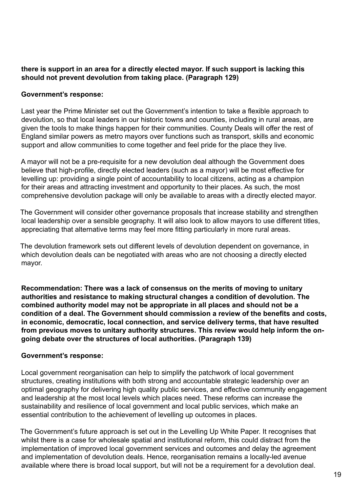#### **there is support in an area for a directly elected mayor. If such support is lacking this should not prevent devolution from taking place. (Paragraph 129)**

#### **Government's response:**

Last year the Prime Minister set out the Government's intention to take a flexible approach to devolution, so that local leaders in our historic towns and counties, including in rural areas, are given the tools to make things happen for their communities. County Deals will offer the rest of England similar powers as metro mayors over functions such as transport, skills and economic support and allow communities to come together and feel pride for the place they live.

A mayor will not be a pre-requisite for a new devolution deal although the Government does believe that high-profile, directly elected leaders (such as a mayor) will be most effective for levelling up: providing a single point of accountability to local citizens, acting as a champion for their areas and attracting investment and opportunity to their places. As such, the most comprehensive devolution package will only be available to areas with a directly elected mayor.

The Government will consider other governance proposals that increase stability and strengthen local leadership over a sensible geography. It will also look to allow mayors to use different titles, appreciating that alternative terms may feel more fitting particularly in more rural areas.   

The devolution framework sets out different levels of devolution dependent on governance, in which devolution deals can be negotiated with areas who are not choosing a directly elected mayor.

**Recommendation: There was a lack of consensus on the merits of moving to unitary authorities and resistance to making structural changes a condition of devolution. The combined authority model may not be appropriate in all places and should not be a condition of a deal. The Government should commission a review of the benefits and costs, in economic, democratic, local connection, and service delivery terms, that have resulted from previous moves to unitary authority structures. This review would help inform the ongoing debate over the structures of local authorities. (Paragraph 139)** 

#### **Government's response:**

Local government reorganisation can help to simplify the patchwork of local government structures, creating institutions with both strong and accountable strategic leadership over an optimal geography for delivering high quality public services, and effective community engagement and leadership at the most local levels which places need. These reforms can increase the sustainability and resilience of local government and local public services, which make an essential contribution to the achievement of levelling up outcomes in places.

The Government's future approach is set out in the Levelling Up White Paper. It recognises that whilst there is a case for wholesale spatial and institutional reform, this could distract from the implementation of improved local government services and outcomes and delay the agreement and implementation of devolution deals. Hence, reorganisation remains a locally-led avenue available where there is broad local support, but will not be a requirement for a devolution deal.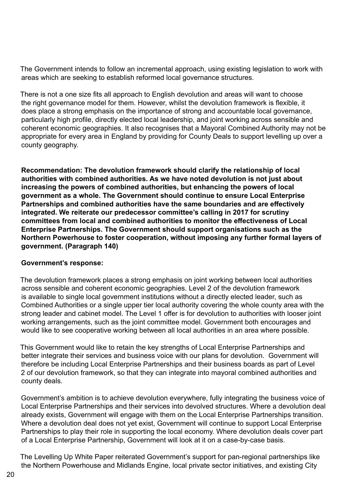<span id="page-19-0"></span>The Government intends to follow an incremental approach, using existing legislation to work with areas which are seeking to establish reformed local governance structures.

There is not a one size fits all approach to English devolution and areas will want to choose the right governance model for them. However, whilst the devolution framework is flexible, it does place a strong emphasis on the importance of strong and accountable local governance, particularly high profile, directly elected local leadership, and joint working across sensible and coherent economic geographies. It also recognises that a Mayoral Combined Authority may not be appropriate for every area in England by providing for County Deals to support levelling up over a county geography.

**Recommendation: The devolution framework should clarify the relationship of local authorities with combined authorities. As we have noted devolution is not just about increasing the powers of combined authorities, but enhancing the powers of local government as a whole. The Government should continue to ensure Local Enterprise Partnerships and combined authorities have the same boundaries and are effectively integrated. We reiterate our predecessor committee's calling in 2017 for scrutiny committees from local and combined authorities to monitor the effectiveness of Local Enterprise Partnerships. The Government should support organisations such as the Northern Powerhouse to foster cooperation, without imposing any further formal layers of government. (Paragraph 140)** 

#### **Government's response:**

The devolution framework places a strong emphasis on joint working between local authorities across sensible and coherent economic geographies. Level 2 of the devolution framework is available to single local government institutions without a directly elected leader, such as Combined Authorities or a single upper tier local authority covering the whole county area with the strong leader and cabinet model. The Level 1 offer is for devolution to authorities with looser joint working arrangements, such as the joint committee model. Government both encourages and would like to see cooperative working between all local authorities in an area where possible.

This Government would like to retain the key strengths of Local Enterprise Partnerships and better integrate their services and business voice with our plans for devolution. Government will therefore be including Local Enterprise Partnerships and their business boards as part of Level 2 of our devolution framework, so that they can integrate into mayoral combined authorities and county deals.

Government's ambition is to achieve devolution everywhere, fully integrating the business voice of Local Enterprise Partnerships and their services into devolved structures. Where a devolution deal already exists, Government will engage with them on the Local Enterprise Partnerships transition. Where a devolution deal does not yet exist, Government will continue to support Local Enterprise Partnerships to play their role in supporting the local economy. Where devolution deals cover part of a Local Enterprise Partnership, Government will look at it on a case-by-case basis.

The Levelling Up White Paper reiterated Government's support for pan-regional partnerships like the Northern Powerhouse and Midlands Engine, local private sector initiatives, and existing City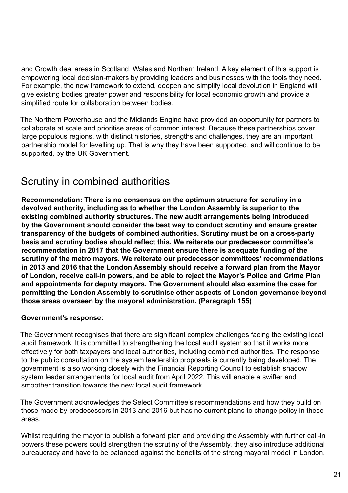and Growth deal areas in Scotland, Wales and Northern Ireland. A key element of this support is empowering local decision-makers by providing leaders and businesses with the tools they need. For example, the new framework to extend, deepen and simplify local devolution in England will give existing bodies greater power and responsibility for local economic growth and provide a simplified route for collaboration between bodies.

The Northern Powerhouse and the Midlands Engine have provided an opportunity for partners to collaborate at scale and prioritise areas of common interest. Because these partnerships cover large populous regions, with distinct histories, strengths and challenges, they are an important partnership model for levelling up. That is why they have been supported, and will continue to be supported, by the UK Government.

# Scrutiny in combined authorities

**Recommendation: There is no consensus on the optimum structure for scrutiny in a devolved authority, including as to whether the London Assembly is superior to the existing combined authority structures. The new audit arrangements being introduced by the Government should consider the best way to conduct scrutiny and ensure greater transparency of the budgets of combined authorities. Scrutiny must be on a cross-party basis and scrutiny bodies should reflect this. We reiterate our predecessor committee's recommendation in 2017 that the Government ensure there is adequate funding of the scrutiny of the metro mayors. We reiterate our predecessor committees' recommendations in 2013 and 2016 that the London Assembly should receive a forward plan from the Mayor of London, receive call-in powers, and be able to reject the Mayor's Police and Crime Plan and appointments for deputy mayors. The Government should also examine the case for permitting the London Assembly to scrutinise other aspects of London governance beyond those areas overseen by the mayoral administration. (Paragraph 155)**

#### **Government's response:**

The Government recognises that there are significant complex challenges facing the existing local audit framework. It is committed to strengthening the local audit system so that it works more effectively for both taxpayers and local authorities, including combined authorities. The response to the public consultation on the system leadership proposals is currently being developed. The government is also working closely with the Financial Reporting Council to establish shadow system leader arrangements for local audit from April 2022. This will enable a swifter and smoother transition towards the new local audit framework.

The Government acknowledges the Select Committee's recommendations and how they build on those made by predecessors in 2013 and 2016 but has no current plans to change policy in these areas.

Whilst requiring the mayor to publish a forward plan and providing the Assembly with further call-in powers these powers could strengthen the scrutiny of the Assembly, they also introduce additional bureaucracy and have to be balanced against the benefits of the strong mayoral model in London.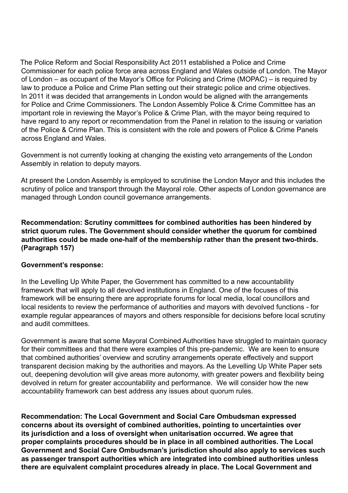The Police Reform and Social Responsibility Act 2011 established a Police and Crime Commissioner for each police force area across England and Wales outside of London. The Mayor of London – as occupant of the Mayor's Office for Policing and Crime (MOPAC) – is required by law to produce a Police and Crime Plan setting out their strategic police and crime objectives. In 2011 it was decided that arrangements in London would be aligned with the arrangements for Police and Crime Commissioners. The London Assembly Police & Crime Committee has an important role in reviewing the Mayor's Police & Crime Plan, with the mayor being required to have regard to any report or recommendation from the Panel in relation to the issuing or variation of the Police & Crime Plan. This is consistent with the role and powers of Police & Crime Panels across England and Wales.

Government is not currently looking at changing the existing veto arrangements of the London Assembly in relation to deputy mayors.

At present the London Assembly is employed to scrutinise the London Mayor and this includes the scrutiny of police and transport through the Mayoral role. Other aspects of London governance are managed through London council governance arrangements.

**Recommendation: Scrutiny committees for combined authorities has been hindered by strict quorum rules. The Government should consider whether the quorum for combined authorities could be made one-half of the membership rather than the present two-thirds. (Paragraph 157)** 

#### **Government's response:**

In the Levelling Up White Paper, the Government has committed to a new accountability framework that will apply to all devolved institutions in England. One of the focuses of this framework will be ensuring there are appropriate forums for local media, local councillors and local residents to review the performance of authorities and mayors with devolved functions - for example regular appearances of mayors and others responsible for decisions before local scrutiny and audit committees.

Government is aware that some Mayoral Combined Authorities have struggled to maintain quoracy for their committees and that there were examples of this pre-pandemic. We are keen to ensure that combined authorities' overview and scrutiny arrangements operate effectively and support transparent decision making by the authorities and mayors. As the Levelling Up White Paper sets out, deepening devolution will give areas more autonomy, with greater powers and flexibility being devolved in return for greater accountability and performance. We will consider how the new accountability framework can best address any issues about quorum rules.

**Recommendation: The Local Government and Social Care Ombudsman expressed concerns about its oversight of combined authorities, pointing to uncertainties over its jurisdiction and a loss of oversight when unitarisation occurred. We agree that proper complaints procedures should be in place in all combined authorities. The Local Government and Social Care Ombudsman's jurisdiction should also apply to services such as passenger transport authorities which are integrated into combined authorities unless there are equivalent complaint procedures already in place. The Local Government and**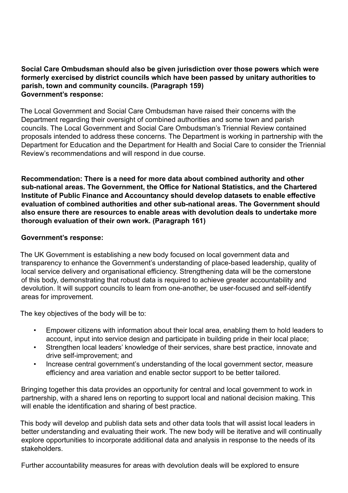#### **Social Care Ombudsman should also be given jurisdiction over those powers which were formerly exercised by district councils which have been passed by unitary authorities to parish, town and community councils. (Paragraph 159) Government's response:**

The Local Government and Social Care Ombudsman have raised their concerns with the Department regarding their oversight of combined authorities and some town and parish councils. The Local Government and Social Care Ombudsman's Triennial Review contained proposals intended to address these concerns. The Department is working in partnership with the Department for Education and the Department for Health and Social Care to consider the Triennial Review's recommendations and will respond in due course.

**Recommendation: There is a need for more data about combined authority and other sub-national areas. The Government, the Office for National Statistics, and the Chartered Institute of Public Finance and Accountancy should develop datasets to enable effective evaluation of combined authorities and other sub-national areas. The Government should also ensure there are resources to enable areas with devolution deals to undertake more thorough evaluation of their own work. (Paragraph 161)**

#### **Government's response:**

The UK Government is establishing a new body focused on local government data and transparency to enhance the Government's understanding of place-based leadership, quality of local service delivery and organisational efficiency. Strengthening data will be the cornerstone of this body, demonstrating that robust data is required to achieve greater accountability and devolution. It will support councils to learn from one-another, be user-focused and self-identify areas for improvement.

The key objectives of the body will be to:

- Empower citizens with information about their local area, enabling them to hold leaders to account, input into service design and participate in building pride in their local place;
- Strengthen local leaders' knowledge of their services, share best practice, innovate and drive self-improvement; and
- Increase central government's understanding of the local government sector, measure efficiency and area variation and enable sector support to be better tailored.

Bringing together this data provides an opportunity for central and local government to work in partnership, with a shared lens on reporting to support local and national decision making. This will enable the identification and sharing of best practice.  

This body will develop and publish data sets and other data tools that will assist local leaders in better understanding and evaluating their work. The new body will be iterative and will continually explore opportunities to incorporate additional data and analysis in response to the needs of its stakeholders.

Further accountability measures for areas with devolution deals will be explored to ensure